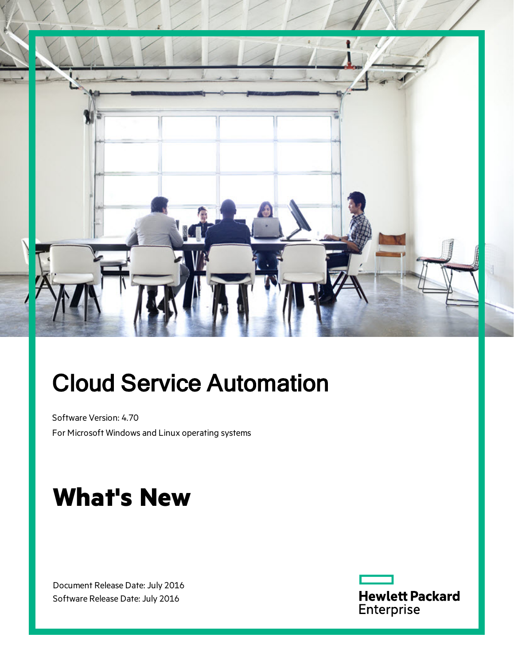

# Cloud Service Automation

Software Version: 4.70 For Microsoft Windows and Linux operating systems

# **What's New**

Document Release Date: July 2016 Software Release Date: July 2016

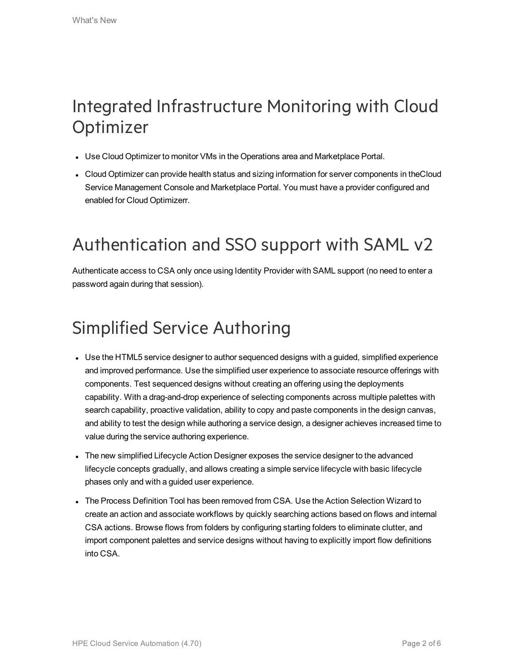### Integrated Infrastructure Monitoring with Cloud **Optimizer**

- Use Cloud Optimizer to monitor VMs in the Operations area and Marketplace Portal.
- Cloud Optimizer can provide health status and sizing information for server components in theCloud Service Management Console and Marketplace Portal. You must have a provider configured and enabled for Cloud Optimizerr.

## Authentication and SSO support with SAML v2

Authenticate access to CSA only once using Identity Provider with SAML support (no need to enter a password again during that session).

## Simplified Service Authoring

- Use the HTML5 service designer to author sequenced designs with a guided, simplified experience and improved performance. Use the simplified user experience to associate resource offerings with components. Test sequenced designs without creating an offering using the deployments capability. With a drag-and-drop experience of selecting components across multiple palettes with search capability, proactive validation, ability to copy and paste components in the design canvas, and ability to test the design while authoring a service design, a designer achieves increased time to value during the service authoring experience.
- The new simplified Lifecycle Action Designer exposes the service designer to the advanced lifecycle concepts gradually, and allows creating a simple service lifecycle with basic lifecycle phases only and with a guided user experience.
- The Process Definition Tool has been removed from CSA. Use the Action Selection Wizard to create an action and associate workflows by quickly searching actions based on flows and internal CSA actions. Browse flows from folders by configuring starting folders to eliminate clutter, and import component palettes and service designs without having to explicitly import flow definitions into CSA.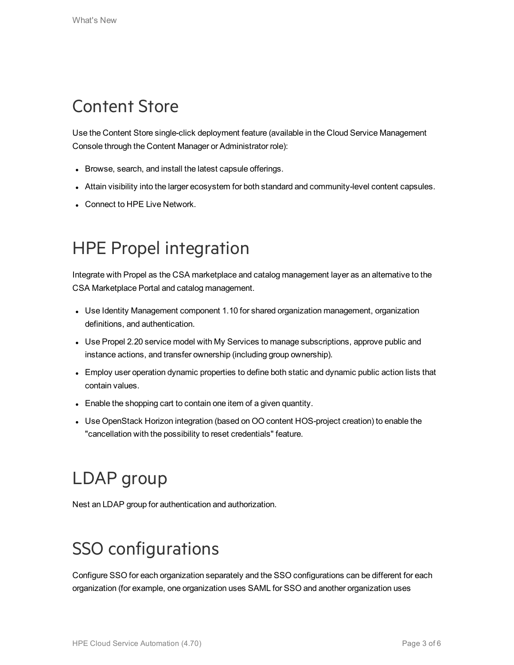### Content Store

Use the Content Store single-click deployment feature (available in the Cloud Service Management Console through the Content Manager or Administrator role):

- Browse, search, and install the latest capsule offerings.
- Attain visibility into the larger ecosystem for both standard and community-level content capsules.
- Connect to HPE Live Network.

### HPE Propel integration

Integrate with Propel as the CSA marketplace and catalog management layer as an alternative to the CSA Marketplace Portal and catalog management.

- Use Identity Management component 1.10 for shared organization management, organization definitions, and authentication.
- Use Propel 2.20 service model with My Services to manage subscriptions, approve public and instance actions, and transfer ownership (including group ownership).
- Employ user operation dynamic properties to define both static and dynamic public action lists that contain values.
- Enable the shopping cart to contain one item of a given quantity.
- Use OpenStack Horizon integration (based on OO content HOS-project creation) to enable the "cancellation with the possibility to reset credentials" feature.

## LDAP group

Nest an LDAP group for authentication and authorization.

## SSO configurations

Configure SSO for each organization separately and the SSO configurations can be different for each organization (for example, one organization uses SAML for SSO and another organization uses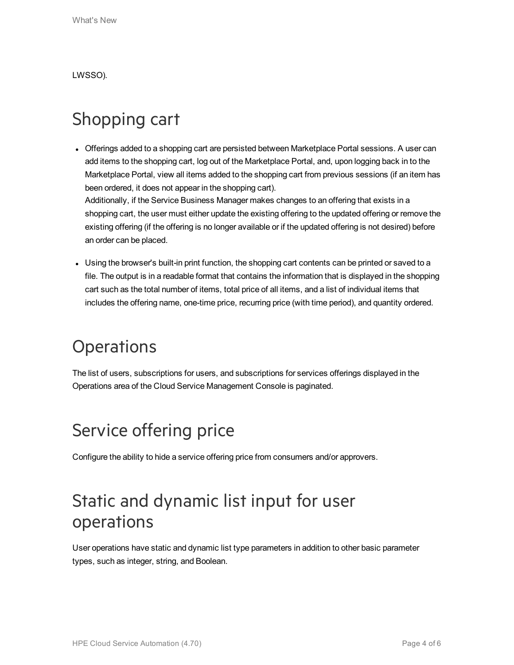LWSSO).

#### Shopping cart

• Offerings added to a shopping cart are persisted between Marketplace Portal sessions. A user can add items to the shopping cart, log out of the Marketplace Portal, and, upon logging back in to the Marketplace Portal, view all items added to the shopping cart from previous sessions (if an item has been ordered, it does not appear in the shopping cart).

Additionally, if the Service Business Manager makes changes to an offering that exists in a shopping cart, the user must either update the existing offering to the updated offering or remove the existing offering (if the offering is no longer available or if the updated offering is not desired) before an order can be placed.

• Using the browser's built-in print function, the shopping cart contents can be printed or saved to a file. The output is in a readable format that contains the information that is displayed in the shopping cart such as the total number of items, total price of all items, and a list of individual items that includes the offering name, one-time price, recurring price (with time period), and quantity ordered.

#### **Operations**

The list of users, subscriptions for users, and subscriptions for services offerings displayed in the Operations area of the Cloud Service Management Console is paginated.

### Service offering price

Configure the ability to hide a service offering price from consumers and/or approvers.

#### Static and dynamic list input for user operations

User operations have static and dynamic list type parameters in addition to other basic parameter types, such as integer, string, and Boolean.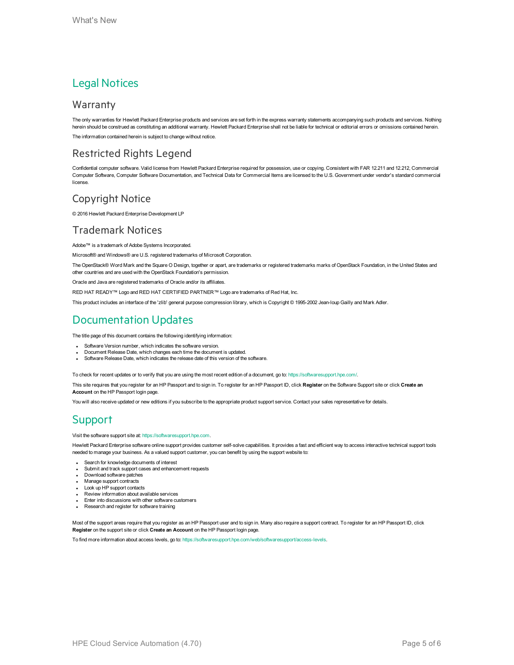#### Legal Notices

#### Warranty

The only warranties for Hewlett Packard Enterprise products and services are set forth in the express warranty statements accompanying such products and services. Nothing herein should be construed as constituting an additional warranty. Hewlett Packard Enterprise shall not be liable for technical or editorial errors or omissions contained herein. The information contained herein is subject to change without notice.

#### Restricted Rights Legend

Confidential computer software. Valid license from Hewlett Packard Enterprise required for possession, use or copying. Consistent with FAR 12.211 and 12.212, Commercial Computer Software, Computer Software Documentation, and Technical Data for Commercial Items are licensed to the U.S. Government under vendor's standard commercial license.

#### Copyright Notice

© 2016 Hewlett Packard Enterprise Development LP

#### Trademark Notices

Adobe™ is a trademark of Adobe Systems Incorporated.

Microsoft® and Windows® are U.S. registered trademarks of Microsoft Corporation.

The OpenStack® Word Mark and the Square O Design, together or apart, are trademarks or registered trademarks marks of OpenStack Foundation, in the United States and other countries and are used with the OpenStack Foundation's permission.

Oracle and Java are registered trademarks of Oracle and/or its affiliates.

RED HAT READY™ Logo and RED HAT CERTIFIED PARTNER™ Logo are trademarks of Red Hat, Inc.

This product includes an interface of the 'zlib' general purpose compression library, which is Copyright © 1995-2002 Jean-loup Gailly and Mark Adler.

#### Documentation Updates

The title page of this document contains the following identifying information:

- Software Version number, which indicates the software version.
- Document Release Date, which changes each time the document is updated.
- Software Release Date, which indicates the release date of this version of the software.

To check for recent updates or to verify that you are using the most recent edition of a document, go to: <https://softwaresupport.hpe.com/>.

This site requires that you register for an HP Passport and to sign in. To register for an HP Passport ID, click **Register** on the Software Support site or click **Create an Account** on the HP Passport login page.

You will also receive updated or new editions if you subscribe to the appropriate product support service. Contact your sales representative for details.

#### **Support**

#### Visit the software support site at: [https://softwaresupport.hpe.com.](https://softwaresupport.hpe.com/)

Hewlett Packard Enterprise software online support provides customer self-solve capabilities. It provides a fast and efficient way to access interactive technical support tools needed to manage your business. As a valued support customer, you can benefit by using the support website to:

- Search for knowledge documents of interest
- Submit and track support cases and enhancement requests
- Download software patches
- Manage support contracts
- Look up HP support contacts
- Review information about available services
- **Enter into discussions with other software customers**
- Research and register for software training

Most of the support areas require that you register as an HP Passport user and to sign in. Many also require a support contract. To register for an HP Passport ID, click **Register** on the support site or click **Create an Account** on the HP Passport login page.

To find more information about access levels, go to: <https://softwaresupport.hpe.com/web/softwaresupport/access-levels>.